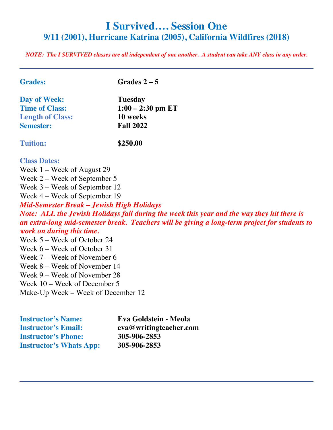# **I Survived…. Session One 9/11 (2001), Hurricane Katrina (2005), California Wildfires (2018)**

*NOTE: The I SURVIVED classes are all independent of one another. A student can take ANY class in any order.* 

| <b>Grades:</b>                                   | Grades $2-5$                                                                                  |
|--------------------------------------------------|-----------------------------------------------------------------------------------------------|
| Day of Week:                                     | <b>Tuesday</b>                                                                                |
| <b>Time of Class:</b>                            | $1:00 - 2:30$ pm ET                                                                           |
| <b>Length of Class:</b>                          | 10 weeks                                                                                      |
| <b>Semester:</b>                                 | <b>Fall 2022</b>                                                                              |
| <b>Tuition:</b>                                  | \$250.00                                                                                      |
| <b>Class Dates:</b>                              |                                                                                               |
| Week $1$ – Week of August 29                     |                                                                                               |
| Week 2 – Week of September 5                     |                                                                                               |
| Week 3 – Week of September 12                    |                                                                                               |
| Week 4 – Week of September 19                    |                                                                                               |
| <b>Mid-Semester Break - Jewish High Holidays</b> |                                                                                               |
|                                                  | Note: ALL the Jewish Holidays fall during the week this year and the way they hit there is    |
|                                                  | an extra-long mid-semester break. Teachers will be giving a long-term project for students to |
| work on during this time.                        |                                                                                               |
| Week 5 – Week of October 24                      |                                                                                               |
| Week 6 – Week of October 31                      |                                                                                               |
| Week 7 – Week of November 6                      |                                                                                               |
| Week 8 – Week of November 14                     |                                                                                               |
| Week 9 – Week of November 28                     |                                                                                               |
| Week 10 – Week of December 5                     |                                                                                               |
| Make-Up Week – Week of December 12               |                                                                                               |
| <b>Instructor's Name:</b>                        | Eva Goldstein - Meola                                                                         |

| <b>Instructor's Name:</b>      | Eva Goldstein - Meola  |
|--------------------------------|------------------------|
| <b>Instructor's Email:</b>     | eva@writingteacher.com |
| <b>Instructor's Phone:</b>     | 305-906-2853           |
| <b>Instructor's Whats App:</b> | 305-906-2853           |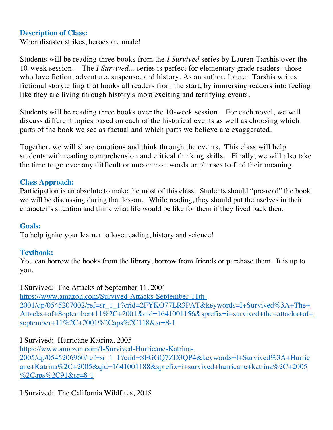# **Description of Class:**

When disaster strikes, heroes are made!

Students will be reading three books from the *I Survived* series by Lauren Tarshis over the 10-week session. The *I Survived*... series is perfect for elementary grade readers--those who love fiction, adventure, suspense, and history. As an author, Lauren Tarshis writes fictional storytelling that hooks all readers from the start, by immersing readers into feeling like they are living through history's most exciting and terrifying events.

Students will be reading three books over the 10-week session. For each novel, we will discuss different topics based on each of the historical events as well as choosing which parts of the book we see as factual and which parts we believe are exaggerated.

Together, we will share emotions and think through the events. This class will help students with reading comprehension and critical thinking skills. Finally, we will also take the time to go over any difficult or uncommon words or phrases to find their meaning.

#### **Class Approach:**

Participation is an absolute to make the most of this class. Students should "pre-read" the book we will be discussing during that lesson. While reading, they should put themselves in their character's situation and think what life would be like for them if they lived back then.

#### **Goals:**

To help ignite your learner to love reading, history and science!

#### **Textbook:**

You can borrow the books from the library, borrow from friends or purchase them. It is up to you.

I Survived: The Attacks of September 11, 2001

https://www.amazon.com/Survived-Attacks-September-11th-2001/dp/0545207002/ref=sr\_1\_1?crid=2FYKO77LR3PAT&keywords=I+Survived%3A+The+ Attacks+of+September+11%2C+2001&qid=1641001156&sprefix=i+survived+the+attacks+of+ september+11%2C+2001%2Caps%2C118&sr=8-1

# I Survived: Hurricane Katrina, 2005

https://www.amazon.com/I-Survived-Hurricane-Katrina-2005/dp/0545206960/ref=sr\_1\_1?crid=SFGGQ7ZD3QP4&keywords=I+Survived%3A+Hurric ane+Katrina%2C+2005&qid=1641001188&sprefix=i+survived+hurricane+katrina%2C+2005  $\frac{\%2Caps\%2C91\&sr=8-1}{2}$ 

# I Survived: The California Wildfires, 2018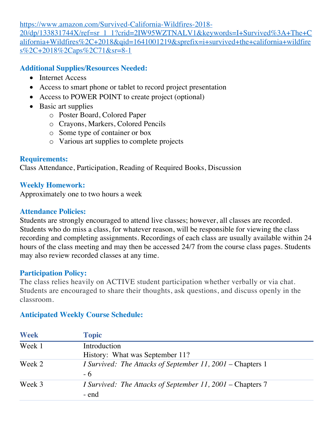https://www.amazon.com/Survived-California-Wildfires-2018-

20/dp/133831744X/ref=sr\_1\_1?crid=2IW95WZTNALV1&keywords=I+Survived%3A+The+C alifornia+Wildfires%2C+2018&qid=1641001219&sprefix=i+survived+the+california+wildfire s%2C+2018%2Caps%2C71&sr=8-1

## **Additional Supplies/Resources Needed:**

- Internet Access
- Access to smart phone or tablet to record project presentation
- Access to POWER POINT to create project (optional)
- Basic art supplies
	- o Poster Board, Colored Paper
	- o Crayons, Markers, Colored Pencils
	- o Some type of container or box
	- o Various art supplies to complete projects

## **Requirements:**

Class Attendance, Participation, Reading of Required Books, Discussion

## **Weekly Homework:**

Approximately one to two hours a week

## **Attendance Policies:**

Students are strongly encouraged to attend live classes; however, all classes are recorded. Students who do miss a class, for whatever reason, will be responsible for viewing the class recording and completing assignments. Recordings of each class are usually available within 24 hours of the class meeting and may then be accessed 24/7 from the course class pages. Students may also review recorded classes at any time.

#### **Participation Policy:**

The class relies heavily on ACTIVE student participation whether verbally or via chat. Students are encouraged to share their thoughts, ask questions, and discuss openly in the classroom.

# **Anticipated Weekly Course Schedule:**

| <b>Week</b> | <b>Topic</b>                                                               |
|-------------|----------------------------------------------------------------------------|
| Week 1      | Introduction<br>History: What was September 11?                            |
| Week 2      | <i>I Survived: The Attacks of September 11, 2001 – Chapters 1</i><br>$-6$  |
| Week 3      | <i>I Survived: The Attacks of September 11, 2001 – Chapters 7</i><br>- end |